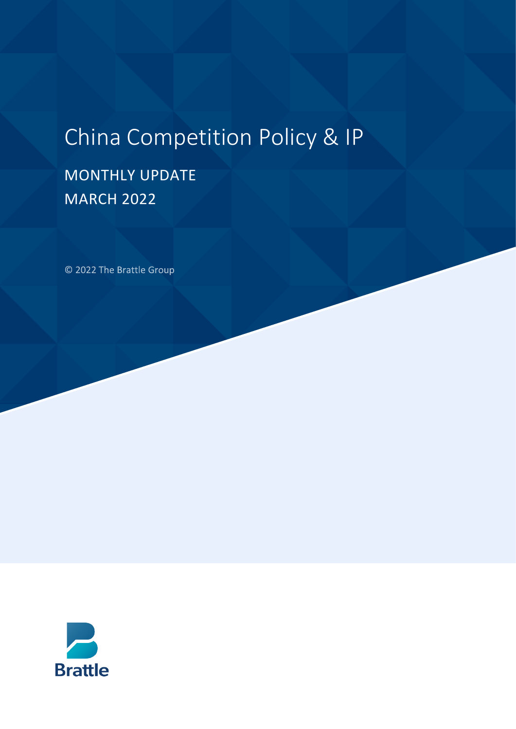# China Competition Policy & IP

## MONTHLY UPDATE MARCH 2022

© 2022 The Brattle Group

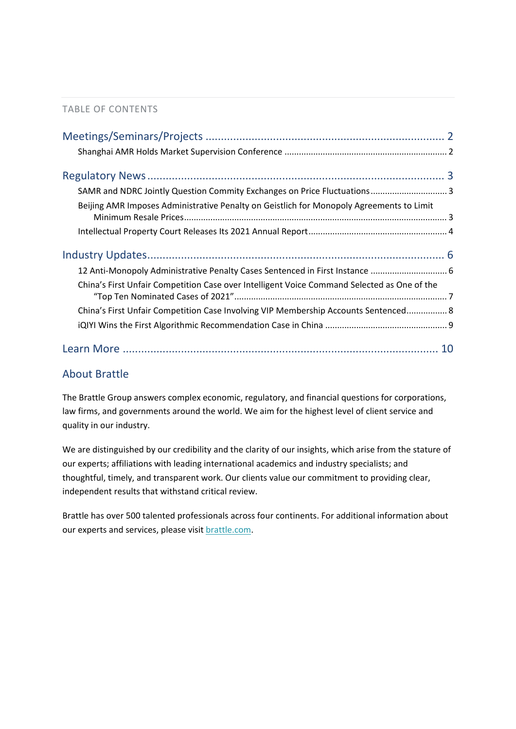#### TABLE OF CONTENTS

| SAMR and NDRC Jointly Question Commity Exchanges on Price Fluctuations 3                    |  |
|---------------------------------------------------------------------------------------------|--|
| Beijing AMR Imposes Administrative Penalty on Geistlich for Monopoly Agreements to Limit    |  |
|                                                                                             |  |
|                                                                                             |  |
| 12 Anti-Monopoly Administrative Penalty Cases Sentenced in First Instance  6                |  |
| China's First Unfair Competition Case over Intelligent Voice Command Selected as One of the |  |
| China's First Unfair Competition Case Involving VIP Membership Accounts Sentenced 8         |  |
|                                                                                             |  |
|                                                                                             |  |

#### About Brattle

The Brattle Group answers complex economic, regulatory, and financial questions for corporations, law firms, and governments around the world. We aim for the highest level of client service and quality in our industry.

We are distinguished by our credibility and the clarity of our insights, which arise from the stature of our experts; affiliations with leading international academics and industry specialists; and thoughtful, timely, and transparent work. Our clients value our commitment to providing clear, independent results that withstand critical review.

Brattle has over 500 talented professionals across four continents. For additional information about our experts and services, please visi[t brattle.com.](https://www.brattle.com/)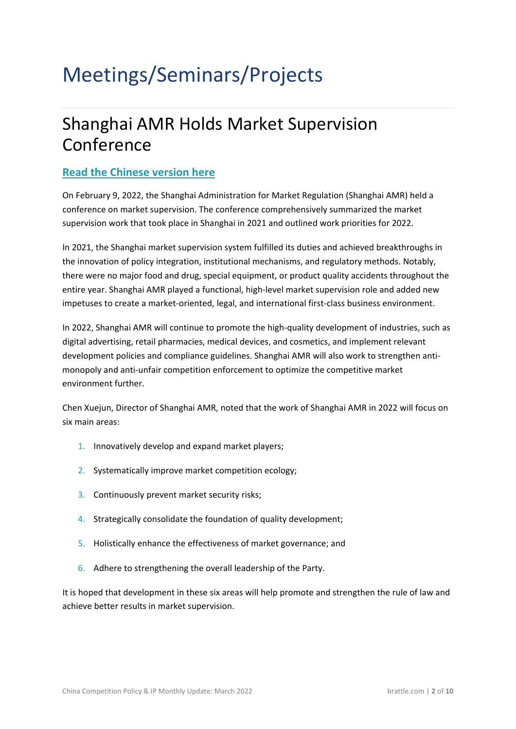# <span id="page-2-1"></span><span id="page-2-0"></span>Meetings/Seminars/Projects

### Shanghai AMR Holds Market Supervision Conference

#### **[Read the Chinese version here](https://www.zhitongcaijing.com/content/detail/656562.html)**

On February 9, 2022, the Shanghai Administration for Market Regulation (Shanghai AMR) held a conference on market supervision. The conference comprehensively summarized the market supervision work that took place in Shanghai in 2021 and outlined work priorities for 2022.

In 2021, the Shanghai market supervision system fulfilled its duties and achieved breakthroughs in the innovation of policy integration, institutional mechanisms, and regulatory methods. Notably, there were no major food and drug, special equipment, or product quality accidents throughout the entire year. Shanghai AMR played a functional, high-level market supervision role and added new impetuses to create a market-oriented, legal, and international first-class business environment.

In 2022, Shanghai AMR will continue to promote the high-quality development of industries, such as digital advertising, retail pharmacies, medical devices, and cosmetics, and implement relevant development policies and compliance guidelines. Shanghai AMR will also work to strengthen antimonopoly and anti-unfair competition enforcement to optimize the competitive market environment further.

Chen Xuejun, Director of Shanghai AMR, noted that the work of Shanghai AMR in 2022 will focus on six main areas:

- 1. Innovatively develop and expand market players;
- 2. Systematically improve market competition ecology;
- 3. Continuously prevent market security risks;
- 4. Strategically consolidate the foundation of quality development;
- 5. Holistically enhance the effectiveness of market governance; and
- 6. Adhere to strengthening the overall leadership of the Party.

It is hoped that development in these six areas will help promote and strengthen the rule of law and achieve better results in market supervision.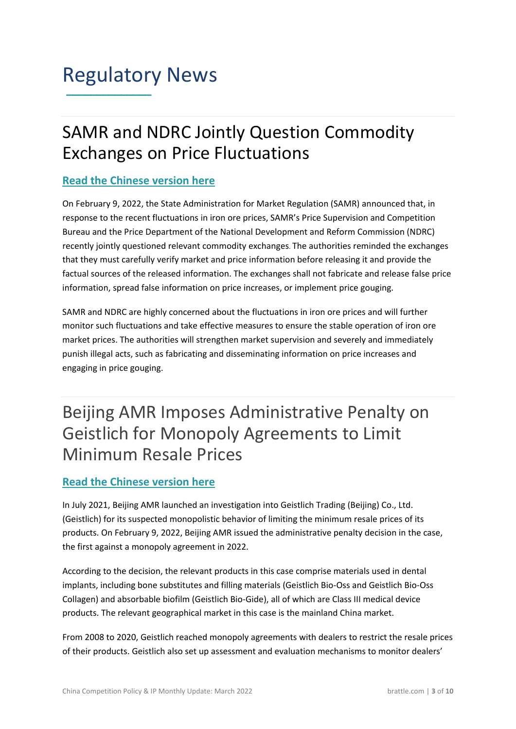### Regulatory News **\_\_\_\_\_\_\_\_\_\_\_\_\_\_**

### <span id="page-3-0"></span>SAMR and NDRC Jointly Question Commodity Exchanges on Price Fluctuations

#### **[Read the Chinese version here](https://www.samr.gov.cn/xw/sj/202202/t20220208_339594.html)**

On February 9, 2022, the State Administration for Market Regulation (SAMR) announced that, in response to the recent fluctuations in iron ore prices, SAMR's Price Supervision and Competition Bureau and the Price Department of the National Development and Reform Commission (NDRC) recently jointly questioned relevant commodity exchanges. The authorities reminded the exchanges that they must carefully verify market and price information before releasing it and provide the factual sources of the released information. The exchanges shall not fabricate and release false price information, spread false information on price increases, or implement price gouging.

SAMR and NDRC are highly concerned about the fluctuations in iron ore prices and will further monitor such fluctuations and take effective measures to ensure the stable operation of iron ore market prices. The authorities will strengthen market supervision and severely and immediately punish illegal acts, such as fabricating and disseminating information on price increases and engaging in price gouging[.](https://www.samr.gov.cn/xw/sj/202202/t20220208_339594.html)

### <span id="page-3-1"></span>Beijing AMR Imposes Administrative Penalty on Geistlich for Monopoly Agreements to Limit Minimum Resale Prices

#### **[Read the Chinese version here](https://www.samr.gov.cn/fldj/tzgg/xzcf/202202/t20220222_339877.html)**

In July 2021, Beijing AMR launched an investigation into Geistlich Trading (Beijing) Co., Ltd. (Geistlich) for its suspected monopolistic behavior of limiting the minimum resale prices of its products. On February 9, 2022, Beijing AMR issued the administrative penalty decision in the case, the first against a monopoly agreement in 2022.

According to the decision, the relevant products in this case comprise materials used in dental implants, including bone substitutes and filling materials (Geistlich Bio-Oss and Geistlich Bio-Oss Collagen) and absorbable biofilm (Geistlich Bio-Gide), all of which are Class III medical device products. The relevant geographical market in this case is the mainland China market.

From 2008 to 2020, Geistlich reached monopoly agreements with dealers to restrict the resale prices of their products. Geistlich also set up assessment and evaluation mechanisms to monitor dealers'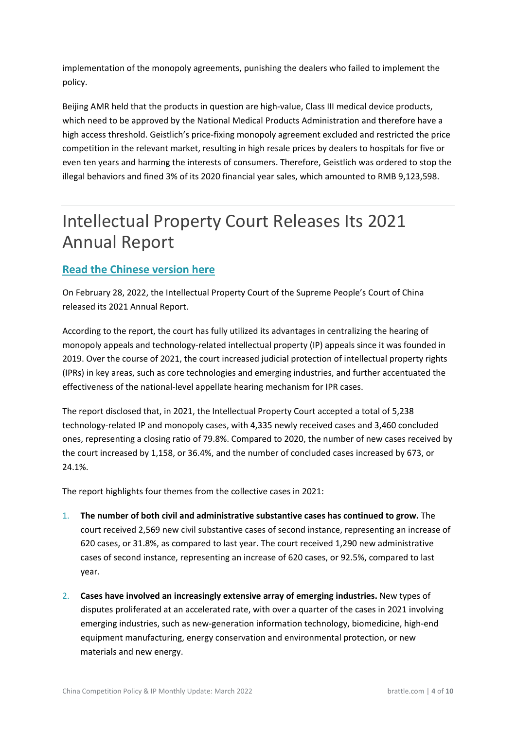implementation of the monopoly agreements, punishing the dealers who failed to implement the policy.

Beijing AMR held that the products in question are high-value, Class III medical device products, which need to be approved by the National Medical Products Administration and therefore have a high access threshold. Geistlich's price-fixing monopoly agreement excluded and restricted the price competition in the relevant market, resulting in high resale prices by dealers to hospitals for five or even ten years and harming the interests of consumers. Therefore, Geistlich was ordered to stop the illegal behaviors and fined 3% of its 2020 financial year sales, which amounted to RMB 9,123,598.

### <span id="page-4-0"></span>Intellectual Property Court Releases Its 2021 Annual Report

#### **[Read the Chinese version here](https://www.court.gov.cn/zixun-xiangqing-347361.html)**

On February 28, 2022, the Intellectual Property Court of the Supreme People's Court of China released its 2021 Annual Report.

According to the report, the court has fully utilized its advantages in centralizing the hearing of monopoly appeals and technology-related intellectual property (IP) appeals since it was founded in 2019. Over the course of 2021, the court increased judicial protection of intellectual property rights (IPRs) in key areas, such as core technologies and emerging industries, and further accentuated the effectiveness of the national-level appellate hearing mechanism for IPR cases.

The report disclosed that, in 2021, the Intellectual Property Court accepted a total of 5,238 technology-related IP and monopoly cases, with 4,335 newly received cases and 3,460 concluded ones, representing a closing ratio of 79.8%. Compared to 2020, the number of new cases received by the court increased by 1,158, or 36.4%, and the number of concluded cases increased by 673, or 24.1%.

The report highlights four themes from the collective cases in 2021:

- 1. **The number of both civil and administrative substantive cases has continued to grow.** The court received 2,569 new civil substantive cases of second instance, representing an increase of 620 cases, or 31.8%, as compared to last year. The court received 1,290 new administrative cases of second instance, representing an increase of 620 cases, or 92.5%, compared to last year.
- 2. **Cases have involved an increasingly extensive array of emerging industries.** New types of disputes proliferated at an accelerated rate, with over a quarter of the cases in 2021 involving emerging industries, such as new-generation information technology, biomedicine, high-end equipment manufacturing, energy conservation and environmental protection, or new materials and new energy.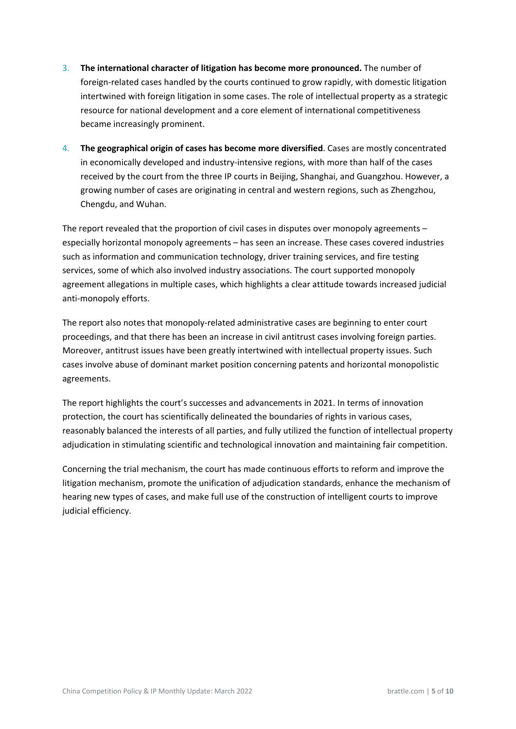- 3. **The international character of litigation has become more pronounced.** The number of foreign-related cases handled by the courts continued to grow rapidly, with domestic litigation intertwined with foreign litigation in some cases. The role of intellectual property as a strategic resource for national development and a core element of international competitiveness became increasingly prominent.
- 4. **The geographical origin of cases has become more diversified**. Cases are mostly concentrated in economically developed and industry-intensive regions, with more than half of the cases received by the court from the three IP courts in Beijing, Shanghai, and Guangzhou. However, a growing number of cases are originating in central and western regions, such as Zhengzhou, Chengdu, and Wuhan.

The report revealed that the proportion of civil cases in disputes over monopoly agreements – especially horizontal monopoly agreements – has seen an increase. These cases covered industries such as information and communication technology, driver training services, and fire testing services, some of which also involved industry associations. The court supported monopoly agreement allegations in multiple cases, which highlights a clear attitude towards increased judicial anti-monopoly efforts.

The report also notes that monopoly-related administrative cases are beginning to enter court proceedings, and that there has been an increase in civil antitrust cases involving foreign parties. Moreover, antitrust issues have been greatly intertwined with intellectual property issues. Such cases involve abuse of dominant market position concerning patents and horizontal monopolistic agreements.

The report highlights the court's successes and advancements in 2021. In terms of innovation protection, the court has scientifically delineated the boundaries of rights in various cases, reasonably balanced the interests of all parties, and fully utilized the function of intellectual property adjudication in stimulating scientific and technological innovation and maintaining fair competition.

Concerning the trial mechanism, the court has made continuous efforts to reform and improve the litigation mechanism, promote the unification of adjudication standards, enhance the mechanism of hearing new types of cases, and make full use of the construction of intelligent courts to improve judicial efficiency.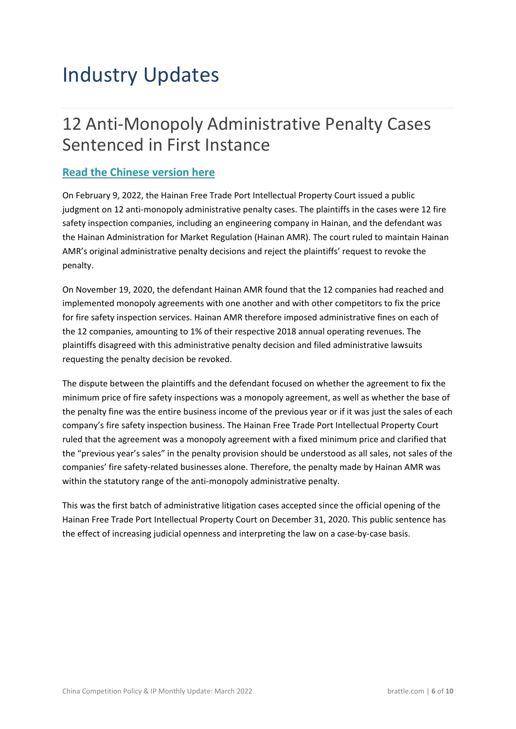## <span id="page-6-1"></span><span id="page-6-0"></span>Industry Updates

### 12 Anti-Monopoly Administrative Penalty Cases Sentenced in First Instance

#### **[Read the Chinese version here](http://www.hicourt.gov.cn/preview/article?articleId=7579af89-6b60-44a6-8e68-1c06445d78f3&&siteId=f7afc746-8577-4cd4-a410-884027df5bab)**

On February 9, 2022, the Hainan Free Trade Port Intellectual Property Court issued a public judgment on 12 anti-monopoly administrative penalty cases. The plaintiffs in the cases were 12 fire safety inspection companies, including an engineering company in Hainan, and the defendant was the Hainan Administration for Market Regulation (Hainan AMR). The court ruled to maintain Hainan AMR's original administrative penalty decisions and reject the plaintiffs' request to revoke the penalty.

On November 19, 2020, the defendant Hainan AMR found that the 12 companies had reached and implemented monopoly agreements with one another and with other competitors to fix the price for fire safety inspection services. Hainan AMR therefore imposed administrative fines on each of the 12 companies, amounting to 1% of their respective 2018 annual operating revenues. The plaintiffs disagreed with this administrative penalty decision and filed administrative lawsuits requesting the penalty decision be revoked.

The dispute between the plaintiffs and the defendant focused on whether the agreement to fix the minimum price of fire safety inspections was a monopoly agreement, as well as whether the base of the penalty fine was the entire business income of the previous year or if it was just the sales of each company's fire safety inspection business. The Hainan Free Trade Port Intellectual Property Court ruled that the agreement was a monopoly agreement with a fixed minimum price and clarified that the "previous year's sales" in the penalty provision should be understood as all sales, not sales of the companies' fire safety-related businesses alone. Therefore, the penalty made by Hainan AMR was within the statutory range of the anti-monopoly administrative penalty.

This was the first batch of administrative litigation cases accepted since the official opening of the Hainan Free Trade Port Intellectual Property Court on December 31, 2020. This public sentence has the effect of increasing judicial openness and interpreting the law on a case-by-case basis.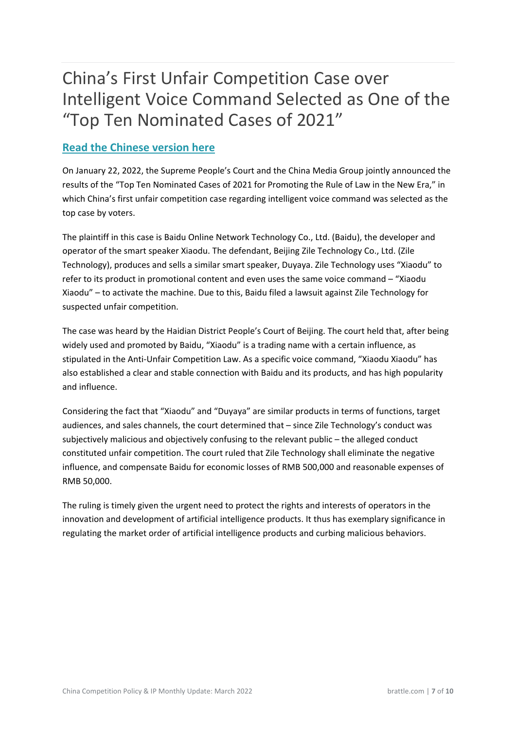### <span id="page-7-0"></span>China's First Unfair Competition Case over Intelligent Voice Command Selected as One of the "Top Ten Nominated Cases of 2021"

#### **[Read the Chinese version here](https://www.thepaper.cn/newsDetail_forward_16426623)**

On January 22, 2022, the Supreme People's Court and the China Media Group jointly announced the results of the "Top Ten Nominated Cases of 2021 for Promoting the Rule of Law in the New Era," in which China's first unfair competition case regarding intelligent voice command was selected as the top case by voters.

The plaintiff in this case is Baidu Online Network Technology Co., Ltd. (Baidu), the developer and operator of the smart speaker Xiaodu. The defendant, Beijing Zile Technology Co., Ltd. (Zile Technology), produces and sells a similar smart speaker, Duyaya. Zile Technology uses "Xiaodu" to refer to its product in promotional content and even uses the same voice command – "Xiaodu Xiaodu" – to activate the machine. Due to this, Baidu filed a lawsuit against Zile Technology for suspected unfair competition.

The case was heard by the Haidian District People's Court of Beijing. The court held that, after being widely used and promoted by Baidu, "Xiaodu" is a trading name with a certain influence, as stipulated in the Anti-Unfair Competition Law. As a specific voice command, "Xiaodu Xiaodu" has also established a clear and stable connection with Baidu and its products, and has high popularity and influence.

Considering the fact that "Xiaodu" and "Duyaya" are similar products in terms of functions, target audiences, and sales channels, the court determined that – since Zile Technology's conduct was subjectively malicious and objectively confusing to the relevant public – the alleged conduct constituted unfair competition. The court ruled that Zile Technology shall eliminate the negative influence, and compensate Baidu for economic losses of RMB 500,000 and reasonable expenses of RMB 50,000.

The ruling is timely given the urgent need to protect the rights and interests of operators in the innovation and development of artificial intelligence products. It thus has exemplary significance in regulating the market order of artificial intelligence products and curbing malicious behaviors.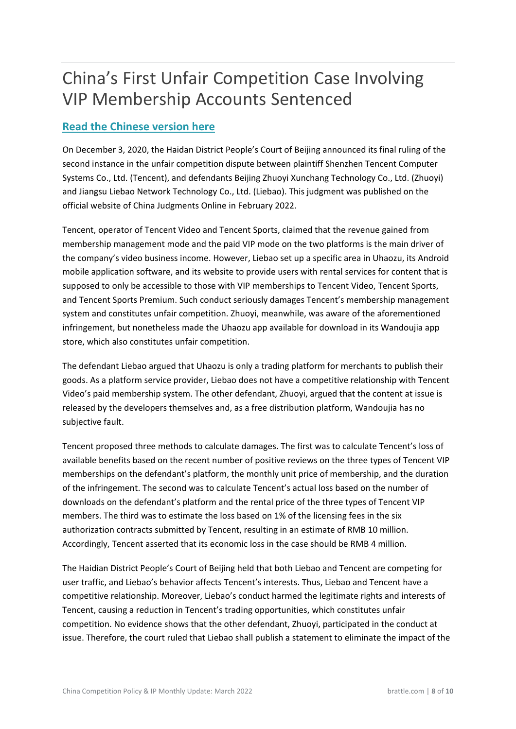## <span id="page-8-0"></span>China's First Unfair Competition Case Involving VIP Membership Accounts Sentenced

#### **[Read the Chinese version here](http://www.zggpjz.com/keji/shuju/8339.html)**

On December 3, 2020, the Haidan District People's Court of Beijing announced its final ruling of the second instance in the unfair competition dispute between plaintiff Shenzhen Tencent Computer Systems Co., Ltd. (Tencent), and defendants Beijing Zhuoyi Xunchang Technology Co., Ltd. (Zhuoyi) and Jiangsu Liebao Network Technology Co., Ltd. (Liebao). This judgment was published on the official website of China Judgments Online in February 2022.

Tencent, operator of Tencent Video and Tencent Sports, claimed that the revenue gained from membership management mode and the paid VIP mode on the two platforms is the main driver of the company's video business income. However, Liebao set up a specific area in Uhaozu, its Android mobile application software, and its website to provide users with rental services for content that is supposed to only be accessible to those with VIP memberships to Tencent Video, Tencent Sports, and Tencent Sports Premium. Such conduct seriously damages Tencent's membership management system and constitutes unfair competition. Zhuoyi, meanwhile, was aware of the aforementioned infringement, but nonetheless made the Uhaozu app available for download in its Wandoujia app store, which also constitutes unfair competition.

The defendant Liebao argued that Uhaozu is only a trading platform for merchants to publish their goods. As a platform service provider, Liebao does not have a competitive relationship with Tencent Video's paid membership system. The other defendant, Zhuoyi, argued that the content at issue is released by the developers themselves and, as a free distribution platform, Wandoujia has no subjective fault.

Tencent proposed three methods to calculate damages. The first was to calculate Tencent's loss of available benefits based on the recent number of positive reviews on the three types of Tencent VIP memberships on the defendant's platform, the monthly unit price of membership, and the duration of the infringement. The second was to calculate Tencent's actual loss based on the number of downloads on the defendant's platform and the rental price of the three types of Tencent VIP members. The third was to estimate the loss based on 1% of the licensing fees in the six authorization contracts submitted by Tencent, resulting in an estimate of RMB 10 million. Accordingly, Tencent asserted that its economic loss in the case should be RMB 4 million.

The Haidian District People's Court of Beijing held that both Liebao and Tencent are competing for user traffic, and Liebao's behavior affects Tencent's interests. Thus, Liebao and Tencent have a competitive relationship. Moreover, Liebao's conduct harmed the legitimate rights and interests of Tencent, causing a reduction in Tencent's trading opportunities, which constitutes unfair competition. No evidence shows that the other defendant, Zhuoyi, participated in the conduct at issue. Therefore, the court ruled that Liebao shall publish a statement to eliminate the impact of the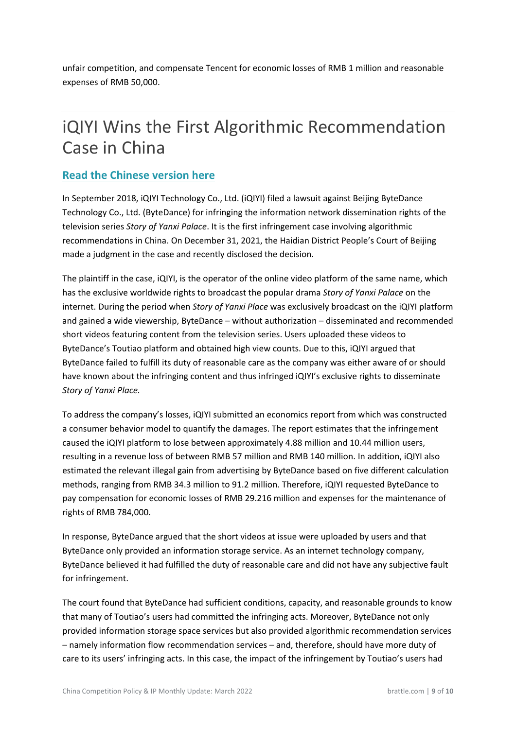<span id="page-9-0"></span>unfair competition, and compensate Tencent for economic losses of RMB 1 million and reasonable expenses of RMB 50,000.

### iQIYI Wins the First Algorithmic Recommendation Case in China

#### **[Read the Chinese version here](https://new.qq.com/omn/20220126/20220126A000RH00.html)**

In September 2018, iQIYI Technology Co., Ltd. (iQIYI) filed a lawsuit against Beijing ByteDance Technology Co., Ltd. (ByteDance) for infringing the information network dissemination rights of the television series *Story of Yanxi Palace*. It is the first infringement case involving algorithmic recommendations in China. On December 31, 2021, the Haidian District People's Court of Beijing made a judgment in the case and recently disclosed the decision.

The plaintiff in the case, iQIYI, is the operator of the online video platform of the same name, which has the exclusive worldwide rights to broadcast the popular drama *Story of Yanxi Palace* on the internet. During the period when *Story of Yanxi Place* was exclusively broadcast on the iQIYI platform and gained a wide viewership, ByteDance – without authorization – disseminated and recommended short videos featuring content from the television series. Users uploaded these videos to ByteDance's Toutiao platform and obtained high view counts. Due to this, iQIYI argued that ByteDance failed to fulfill its duty of reasonable care as the company was either aware of or should have known about the infringing content and thus infringed iQIYI's exclusive rights to disseminate *Story of Yanxi Place.*

To address the company's losses, iQIYI submitted an economics report from which was constructed a consumer behavior model to quantify the damages. The report estimates that the infringement caused the iQIYI platform to lose between approximately 4.88 million and 10.44 million users, resulting in a revenue loss of between RMB 57 million and RMB 140 million. In addition, iQIYI also estimated the relevant illegal gain from advertising by ByteDance based on five different calculation methods, ranging from RMB 34.3 million to 91.2 million. Therefore, iQIYI requested ByteDance to pay compensation for economic losses of RMB 29.216 million and expenses for the maintenance of rights of RMB 784,000.

In response, ByteDance argued that the short videos at issue were uploaded by users and that ByteDance only provided an information storage service. As an internet technology company, ByteDance believed it had fulfilled the duty of reasonable care and did not have any subjective fault for infringement.

The court found that ByteDance had sufficient conditions, capacity, and reasonable grounds to know that many of Toutiao's users had committed the infringing acts. Moreover, ByteDance not only provided information storage space services but also provided algorithmic recommendation services – namely information flow recommendation services – and, therefore, should have more duty of care to its users' infringing acts. In this case, the impact of the infringement by Toutiao's users had